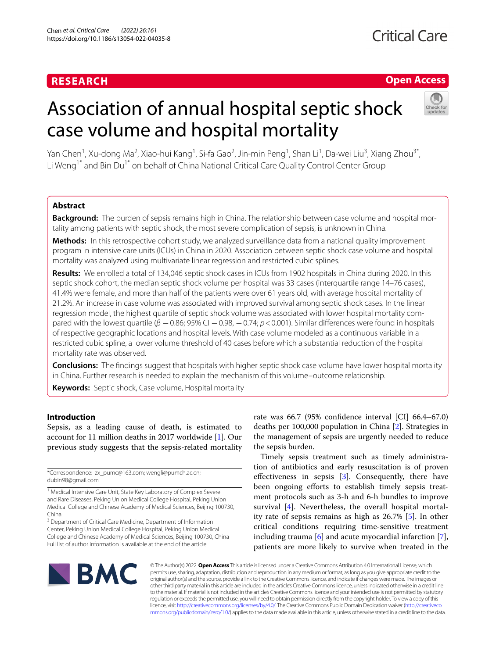## **RESEARCH**

## **Open Access**

# Association of annual hospital septic shock case volume and hospital mortality



Yan Chen<sup>1</sup>, Xu-dong Ma<sup>2</sup>, Xiao-hui Kang<sup>1</sup>, Si-fa Gao<sup>2</sup>, Jin-min Peng<sup>1</sup>, Shan Li<sup>1</sup>, Da-wei Liu<sup>3</sup>, Xiang Zhou<sup>3\*</sup>, Li Weng<sup>1\*</sup> and Bin Du<sup>1\*</sup> on behalf of China National Critical Care Quality Control Center Group

### **Abstract**

**Background:** The burden of sepsis remains high in China. The relationship between case volume and hospital mortality among patients with septic shock, the most severe complication of sepsis, is unknown in China.

**Methods:** In this retrospective cohort study, we analyzed surveillance data from a national quality improvement program in intensive care units (ICUs) in China in 2020. Association between septic shock case volume and hospital mortality was analyzed using multivariate linear regression and restricted cubic splines.

**Results:** We enrolled a total of 134,046 septic shock cases in ICUs from 1902 hospitals in China during 2020. In this septic shock cohort, the median septic shock volume per hospital was 33 cases (interquartile range 14–76 cases), 41.4% were female, and more than half of the patients were over 61 years old, with average hospital mortality of 21.2%. An increase in case volume was associated with improved survival among septic shock cases. In the linear regression model, the highest quartile of septic shock volume was associated with lower hospital mortality compared with the lowest quartile (*β* −0.86; 95% CI −0.98, −0.74; *p*<0.001). Similar diferences were found in hospitals of respective geographic locations and hospital levels. With case volume modeled as a continuous variable in a restricted cubic spline, a lower volume threshold of 40 cases before which a substantial reduction of the hospital mortality rate was observed.

**Conclusions:** The fndings suggest that hospitals with higher septic shock case volume have lower hospital mortality in China. Further research is needed to explain the mechanism of this volume–outcome relationship.

**Keywords:** Septic shock, Case volume, Hospital mortality

#### **Introduction**

Sepsis, as a leading cause of death, is estimated to account for 11 million deaths in 2017 worldwide [[1\]](#page-7-0). Our previous study suggests that the sepsis-related mortality

\*Correspondence: zx\_pumc@163.com; wengli@pumch.ac.cn; dubin98@gmail.com

<sup>1</sup> Medical Intensive Care Unit, State Key Laboratory of Complex Severe and Rare Diseases, Peking Union Medical College Hospital, Peking Union Medical College and Chinese Academy of Medical Sciences, Beijing 100730, China

<sup>3</sup> Department of Critical Care Medicine, Department of Information Center, Peking Union Medical College Hospital, Peking Union Medical College and Chinese Academy of Medical Sciences, Beijing 100730, China Full list of author information is available at the end of the article

rate was 66.7 (95% confdence interval [CI] 66.4–67.0) deaths per 100,000 population in China [[2](#page-7-1)]. Strategies in the management of sepsis are urgently needed to reduce the sepsis burden.

Timely sepsis treatment such as timely administration of antibiotics and early resuscitation is of proven efectiveness in sepsis [[3\]](#page-7-2). Consequently, there have been ongoing efforts to establish timely sepsis treatment protocols such as 3-h and 6-h bundles to improve survival [[4\]](#page-8-0). Nevertheless, the overall hospital mortality rate of sepsis remains as high as 26.7% [\[5](#page-8-1)]. In other critical conditions requiring time-sensitive treatment including trauma [[6\]](#page-8-2) and acute myocardial infarction [\[7](#page-8-3)], patients are more likely to survive when treated in the



© The Author(s) 2022. **Open Access** This article is licensed under a Creative Commons Attribution 4.0 International License, which permits use, sharing, adaptation, distribution and reproduction in any medium or format, as long as you give appropriate credit to the original author(s) and the source, provide a link to the Creative Commons licence, and indicate if changes were made. The images or other third party material in this article are included in the article's Creative Commons licence, unless indicated otherwise in a credit line to the material. If material is not included in the article's Creative Commons licence and your intended use is not permitted by statutory regulation or exceeds the permitted use, you will need to obtain permission directly from the copyright holder. To view a copy of this licence, visit [http://creativecommons.org/licenses/by/4.0/.](http://creativecommons.org/licenses/by/4.0/) The Creative Commons Public Domain Dedication waiver ([http://creativeco](http://creativecommons.org/publicdomain/zero/1.0/) [mmons.org/publicdomain/zero/1.0/](http://creativecommons.org/publicdomain/zero/1.0/)) applies to the data made available in this article, unless otherwise stated in a credit line to the data.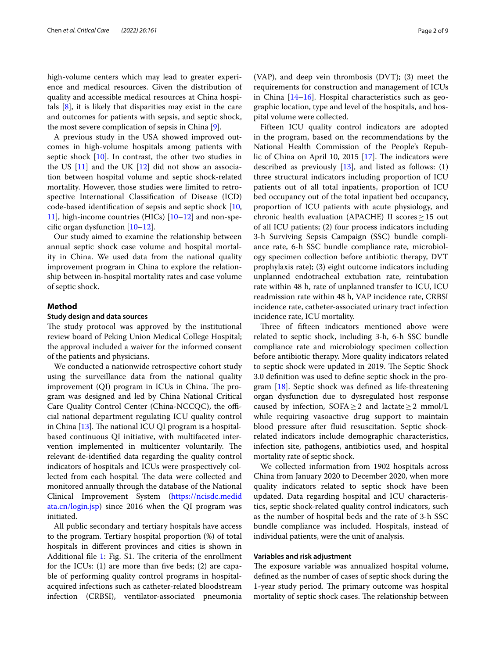high-volume centers which may lead to greater experience and medical resources. Given the distribution of quality and accessible medical resources at China hospitals [[8\]](#page-8-4), it is likely that disparities may exist in the care and outcomes for patients with sepsis, and septic shock, the most severe complication of sepsis in China [[9\]](#page-8-5).

A previous study in the USA showed improved outcomes in high-volume hospitals among patients with septic shock [[10](#page-8-6)]. In contrast, the other two studies in the US  $[11]$  $[11]$  and the UK  $[12]$  did not show an association between hospital volume and septic shock-related mortality. However, those studies were limited to retrospective International Classifcation of Disease (ICD) code-based identifcation of sepsis and septic shock [\[10](#page-8-6), [11\]](#page-8-7), high-income countries (HICs) [\[10–](#page-8-6)[12\]](#page-8-8) and non-specifc organ dysfunction [[10–](#page-8-6)[12](#page-8-8)].

Our study aimed to examine the relationship between annual septic shock case volume and hospital mortality in China. We used data from the national quality improvement program in China to explore the relationship between in-hospital mortality rates and case volume of septic shock.

#### **Method**

#### **Study design and data sources**

The study protocol was approved by the institutional review board of Peking Union Medical College Hospital; the approval included a waiver for the informed consent of the patients and physicians.

We conducted a nationwide retrospective cohort study using the surveillance data from the national quality improvement  $(QI)$  program in ICUs in China. The program was designed and led by China National Critical Care Quality Control Center (China-NCCQC), the official national department regulating ICU quality control in China  $[13]$  $[13]$ . The national ICU QI program is a hospitalbased continuous QI initiative, with multifaceted intervention implemented in multicenter voluntarily. The relevant de-identifed data regarding the quality control indicators of hospitals and ICUs were prospectively collected from each hospital. The data were collected and monitored annually through the database of the National Clinical Improvement System ([https://ncisdc.medid](https://ncisdc.medidata.cn/login.jsp) [ata.cn/login.jsp](https://ncisdc.medidata.cn/login.jsp)) since 2016 when the QI program was initiated.

All public secondary and tertiary hospitals have access to the program. Tertiary hospital proportion (%) of total hospitals in diferent provinces and cities is shown in Additional file [1:](#page-7-3) Fig. S1. The criteria of the enrollment for the ICUs: (1) are more than five beds; (2) are capable of performing quality control programs in hospitalacquired infections such as catheter-related bloodstream infection (CRBSI), ventilator-associated pneumonia (VAP), and deep vein thrombosis (DVT); (3) meet the requirements for construction and management of ICUs in China [[14](#page-8-10)[–16](#page-8-11)]. Hospital characteristics such as geographic location, type and level of the hospitals, and hospital volume were collected.

Fifteen ICU quality control indicators are adopted in the program, based on the recommendations by the National Health Commission of the People's Republic of China on April 10, 2015  $[17]$  $[17]$ . The indicators were described as previously [[13\]](#page-8-9), and listed as follows: (1) three structural indicators including proportion of ICU patients out of all total inpatients, proportion of ICU bed occupancy out of the total inpatient bed occupancy, proportion of ICU patients with acute physiology, and chronic health evaluation (APACHE) II scores  $\geq$  15 out of all ICU patients; (2) four process indicators including 3-h Surviving Sepsis Campaign (SSC) bundle compliance rate, 6-h SSC bundle compliance rate, microbiology specimen collection before antibiotic therapy, DVT prophylaxis rate); (3) eight outcome indicators including unplanned endotracheal extubation rate, reintubation rate within 48 h, rate of unplanned transfer to ICU, ICU readmission rate within 48 h, VAP incidence rate, CRBSI incidence rate, catheter-associated urinary tract infection incidence rate, ICU mortality.

Three of fifteen indicators mentioned above were related to septic shock, including 3-h, 6-h SSC bundle compliance rate and microbiology specimen collection before antibiotic therapy. More quality indicators related to septic shock were updated in 2019. The Septic Shock 3.0 defnition was used to defne septic shock in the program [\[18\]](#page-8-13). Septic shock was defned as life-threatening organ dysfunction due to dysregulated host response caused by infection, SOFA $\geq$  2 and lactate $\geq$  2 mmol/L while requiring vasoactive drug support to maintain blood pressure after fuid resuscitation. Septic shockrelated indicators include demographic characteristics, infection site, pathogens, antibiotics used, and hospital mortality rate of septic shock.

We collected information from 1902 hospitals across China from January 2020 to December 2020, when more quality indicators related to septic shock have been updated. Data regarding hospital and ICU characteristics, septic shock-related quality control indicators, such as the number of hospital beds and the rate of 3-h SSC bundle compliance was included. Hospitals, instead of individual patients, were the unit of analysis.

#### **Variables and risk adjustment**

The exposure variable was annualized hospital volume, defned as the number of cases of septic shock during the 1-year study period. The primary outcome was hospital mortality of septic shock cases. The relationship between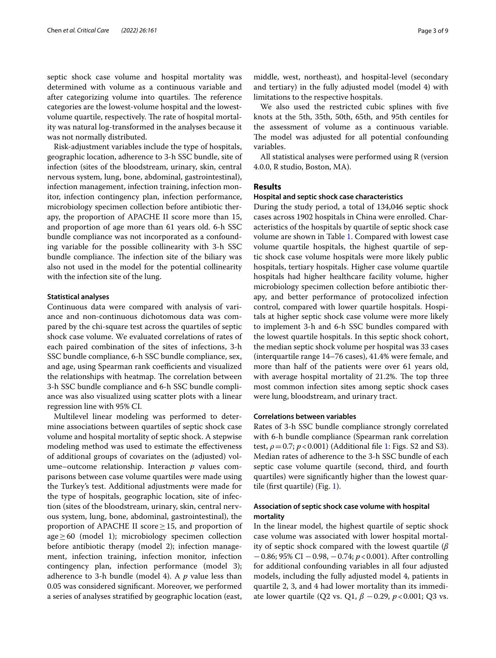septic shock case volume and hospital mortality was determined with volume as a continuous variable and after categorizing volume into quartiles. The reference categories are the lowest-volume hospital and the lowestvolume quartile, respectively. The rate of hospital mortality was natural log-transformed in the analyses because it was not normally distributed.

Risk-adjustment variables include the type of hospitals, geographic location, adherence to 3-h SSC bundle, site of infection (sites of the bloodstream, urinary, skin, central nervous system, lung, bone, abdominal, gastrointestinal), infection management, infection training, infection monitor, infection contingency plan, infection performance, microbiology specimen collection before antibiotic therapy, the proportion of APACHE II score more than 15, and proportion of age more than 61 years old. 6-h SSC bundle compliance was not incorporated as a confounding variable for the possible collinearity with 3-h SSC bundle compliance. The infection site of the biliary was also not used in the model for the potential collinearity with the infection site of the lung.

#### **Statistical analyses**

Continuous data were compared with analysis of variance and non-continuous dichotomous data was compared by the chi-square test across the quartiles of septic shock case volume. We evaluated correlations of rates of each paired combination of the sites of infections, 3-h SSC bundle compliance, 6-h SSC bundle compliance, sex, and age, using Spearman rank coefficients and visualized the relationships with heatmap. The correlation between 3-h SSC bundle compliance and 6-h SSC bundle compliance was also visualized using scatter plots with a linear regression line with 95% CI.

Multilevel linear modeling was performed to determine associations between quartiles of septic shock case volume and hospital mortality of septic shock. A stepwise modeling method was used to estimate the efectiveness of additional groups of covariates on the (adjusted) volume–outcome relationship. Interaction *p* values comparisons between case volume quartiles were made using the Turkey's test. Additional adjustments were made for the type of hospitals, geographic location, site of infection (sites of the bloodstream, urinary, skin, central nervous system, lung, bone, abdominal, gastrointestinal), the proportion of APACHE II score  $\geq$  15, and proportion of  $age \geq 60$  (model 1); microbiology specimen collection before antibiotic therapy (model 2); infection management, infection training, infection monitor, infection contingency plan, infection performance (model 3); adherence to 3-h bundle (model 4). A *p* value less than 0.05 was considered signifcant. Moreover, we performed a series of analyses stratifed by geographic location (east, middle, west, northeast), and hospital-level (secondary and tertiary) in the fully adjusted model (model 4) with limitations to the respective hospitals.

We also used the restricted cubic splines with fve knots at the 5th, 35th, 50th, 65th, and 95th centiles for the assessment of volume as a continuous variable. The model was adjusted for all potential confounding variables.

All statistical analyses were performed using R (version 4.0.0, R studio, Boston, MA).

#### **Results**

#### **Hospital and septic shock case characteristics**

During the study period, a total of 134,046 septic shock cases across 1902 hospitals in China were enrolled. Characteristics of the hospitals by quartile of septic shock case volume are shown in Table [1.](#page-3-0) Compared with lowest case volume quartile hospitals, the highest quartile of septic shock case volume hospitals were more likely public hospitals, tertiary hospitals. Higher case volume quartile hospitals had higher healthcare facility volume, higher microbiology specimen collection before antibiotic therapy, and better performance of protocolized infection control, compared with lower quartile hospitals. Hospitals at higher septic shock case volume were more likely to implement 3-h and 6-h SSC bundles compared with the lowest quartile hospitals. In this septic shock cohort, the median septic shock volume per hospital was 33 cases (interquartile range 14–76 cases), 41.4% were female, and more than half of the patients were over 61 years old, with average hospital mortality of 21.2%. The top three most common infection sites among septic shock cases were lung, bloodstream, and urinary tract.

#### **Correlations between variables**

Rates of 3-h SSC bundle compliance strongly correlated with 6-h bundle compliance (Spearman rank correlation test,  $\rho = 0.7$ ;  $p < 0.001$ ) (Additional file [1:](#page-7-3) Figs. S2 and S3). Median rates of adherence to the 3-h SSC bundle of each septic case volume quartile (second, third, and fourth quartiles) were signifcantly higher than the lowest quartile (frst quartile) (Fig. [1](#page-4-0)).

#### **Association of septic shock case volume with hospital mortality**

In the linear model, the highest quartile of septic shock case volume was associated with lower hospital mortality of septic shock compared with the lowest quartile (*β* −0.86; 95% CI −0.98, −0.74; *p*<0.001). After controlling for additional confounding variables in all four adjusted models, including the fully adjusted model 4, patients in quartile 2, 3, and 4 had lower mortality than its immediate lower quartile (Q2 vs. Q1, *β* −0.29, *p*<0.001; Q3 vs.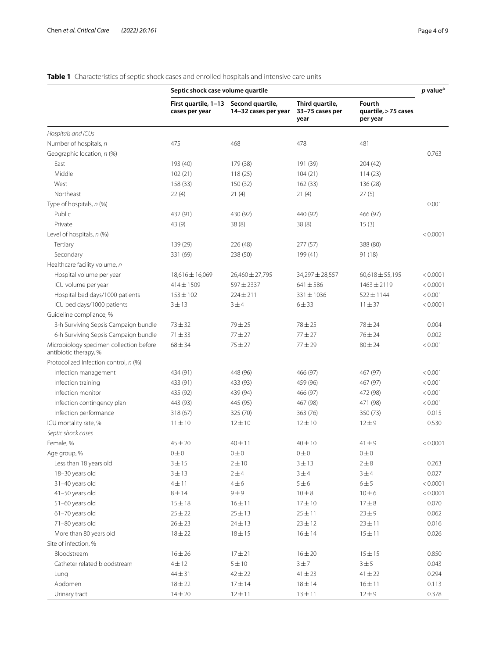## <span id="page-3-0"></span>**Table 1** Characteristics of septic shock cases and enrolled hospitals and intensive care units

| Second quartile,<br>Third quartile,<br><b>Fourth</b><br>First quartile, 1-13<br>14-32 cases per year<br>33-75 cases per<br>quartile, > 75 cases<br>cases per year<br>year<br>per year<br>Hospitals and ICUs<br>Number of hospitals, n<br>475<br>468<br>478<br>481<br>Geographic location, n (%)<br>0.763<br>East<br>193 (40)<br>179 (38)<br>191 (39)<br>204 (42)<br>Middle<br>102(21)<br>118(25)<br>104(21)<br>114(23)<br>West<br>158 (33)<br>150 (32)<br>162(33)<br>136 (28)<br>Northeast<br>22(4)<br>21(4)<br>21(4)<br>27(5)<br>Type of hospitals, n (%)<br>0.001<br>Public<br>432 (91)<br>430 (92)<br>440 (92)<br>466 (97)<br>Private<br>43 (9)<br>38(8)<br>38(8)<br>15(3)<br>Level of hospitals, n (%)<br>< 0.0001<br>Tertiary<br>139 (29)<br>226 (48)<br>277 (57)<br>388 (80)<br>Secondary<br>331 (69)<br>238 (50)<br>199 (41)<br>91 (18)<br>Healthcare facility volume, n<br>Hospital volume per year<br>26,460 ± 27,795<br>34,297 ± 28,557<br>$60,618 \pm 55,195$<br>< 0.0001<br>18,616 ± 16,069<br>597±2337<br>$641 \pm 586$<br>< 0.0001<br>ICU volume per year<br>$414 \pm 1509$<br>$1463 \pm 2119$<br>$224 \pm 211$<br>$331 \pm 1036$<br>< 0.001<br>Hospital bed days/1000 patients<br>$153 \pm 102$<br>$522 \pm 1144$<br>ICU bed days/1000 patients<br>$6 + 33$<br>< 0.0001<br>$3 + 13$<br>3±4<br>$11 + 37$<br>Guideline compliance, %<br>3-h Surviving Sepsis Campaign bundle<br>$73 + 32$<br>$79 + 25$<br>$78 + 25$<br>$78 + 24$<br>0.004<br>6-h Surviving Sepsis Campaign bundle<br>$71 + 33$<br>$77 + 27$<br>$77 + 27$<br>$76 + 24$<br>0.002<br>Microbiology specimen collection before<br>$68 + 34$<br>$75 + 27$<br>< 0.001<br>$77 + 29$<br>$80 + 24$<br>antibiotic therapy, %<br>Protocolized Infection control, n (%)<br>Infection management<br>448 (96)<br>466 (97)<br>467 (97)<br>< 0.001<br>434 (91)<br>Infection training<br>433 (93)<br>459 (96)<br>467 (97)<br>< 0.001<br>433 (91)<br>Infection monitor<br>466 (97)<br>< 0.001<br>435 (92)<br>439 (94)<br>472 (98)<br>Infection contingency plan<br>445 (95)<br>467 (98)<br>471 (98)<br>< 0.001<br>443 (93)<br>Infection performance<br>318 (67)<br>325 (70)<br>363 (76)<br>350 (73)<br>0.015<br>ICU mortality rate, %<br>0.530<br>$11 \pm 10$<br>$12 \pm 10$<br>$12 \pm 10$<br>$12 + 9$<br>Septic shock cases<br>Female, %<br>$45 \pm 20$<br>40 ± 11<br>$40 \pm 10$<br>$41 + 9$<br>< 0.0001<br>Age group, %<br>$0\pm 0$<br>$0\pm 0$<br>$0\pm 0$<br>$0\pm 0$<br>Less than 18 years old<br>$2\pm10$<br>3 ± 13<br>$2 \pm 8$<br>0.263<br>3 ± 15<br>18-30 years old<br>3 ± 13<br>2 ± 4<br>3 ± 4<br>3 ± 4<br>0.027<br>31-40 years old<br>$4\pm11$<br>$4\pm 6$<br>$5 \pm 6$<br>6 ± 5<br>< 0.0001<br>41-50 years old<br>$8 \pm 14$<br>9 ± 9<br>$10 \pm 8$<br>$10 \pm 6$<br>< 0.0001<br>51-60 years old<br>16 ± 11<br>$17\pm10$<br>$17\pm8$<br>0.070<br>$15 + 18$<br>$25 + 22$<br>$25 \pm 13$<br>$25\pm11$<br>$23 \pm 9$<br>61-70 years old<br>0.062<br>71-80 years old<br>$26 \pm 23$<br>$24 \pm 13$<br>$23 \pm 12$<br>$23 \pm 11$<br>0.016<br>More than 80 years old<br>$16 \pm 14$<br>$15 \pm 11$<br>0.026<br>$18 + 22$<br>$18 + 15$<br>Site of infection, %<br>Bloodstream<br>$16 + 26$<br>$17 + 21$<br>$16 \pm 20$<br>$15 \pm 15$<br>0.850<br>Catheter related bloodstream<br>$4 \pm 12$<br>5 ± 10<br>3 ± 7<br>3 ± 5<br>0.043<br>$44 + 31$<br>$42 + 22$<br>$41 \pm 23$<br>$41 \pm 22$<br>0.294<br>Lung<br>Abdomen<br>$18 + 22$<br>$17 + 14$<br>$18 \pm 14$<br>$16 \pm 11$<br>0.113 |               | Septic shock case volume quartile |             |             |          | $p$ value <sup>a</sup> |
|----------------------------------------------------------------------------------------------------------------------------------------------------------------------------------------------------------------------------------------------------------------------------------------------------------------------------------------------------------------------------------------------------------------------------------------------------------------------------------------------------------------------------------------------------------------------------------------------------------------------------------------------------------------------------------------------------------------------------------------------------------------------------------------------------------------------------------------------------------------------------------------------------------------------------------------------------------------------------------------------------------------------------------------------------------------------------------------------------------------------------------------------------------------------------------------------------------------------------------------------------------------------------------------------------------------------------------------------------------------------------------------------------------------------------------------------------------------------------------------------------------------------------------------------------------------------------------------------------------------------------------------------------------------------------------------------------------------------------------------------------------------------------------------------------------------------------------------------------------------------------------------------------------------------------------------------------------------------------------------------------------------------------------------------------------------------------------------------------------------------------------------------------------------------------------------------------------------------------------------------------------------------------------------------------------------------------------------------------------------------------------------------------------------------------------------------------------------------------------------------------------------------------------------------------------------------------------------------------------------------------------------------------------------------------------------------------------------------------------------------------------------------------------------------------------------------------------------------------------------------------------------------------------------------------------------------------------------------------------------------------------------------------------------------------------------------------------------------------------------------------------------------------------------------------------------------------------------------------------------------------------------------------------------------------------------------------------------------------------------------------------------------------------------------------------------------------------|---------------|-----------------------------------|-------------|-------------|----------|------------------------|
|                                                                                                                                                                                                                                                                                                                                                                                                                                                                                                                                                                                                                                                                                                                                                                                                                                                                                                                                                                                                                                                                                                                                                                                                                                                                                                                                                                                                                                                                                                                                                                                                                                                                                                                                                                                                                                                                                                                                                                                                                                                                                                                                                                                                                                                                                                                                                                                                                                                                                                                                                                                                                                                                                                                                                                                                                                                                                                                                                                                                                                                                                                                                                                                                                                                                                                                                                                                                                                                          |               |                                   |             |             |          |                        |
|                                                                                                                                                                                                                                                                                                                                                                                                                                                                                                                                                                                                                                                                                                                                                                                                                                                                                                                                                                                                                                                                                                                                                                                                                                                                                                                                                                                                                                                                                                                                                                                                                                                                                                                                                                                                                                                                                                                                                                                                                                                                                                                                                                                                                                                                                                                                                                                                                                                                                                                                                                                                                                                                                                                                                                                                                                                                                                                                                                                                                                                                                                                                                                                                                                                                                                                                                                                                                                                          |               |                                   |             |             |          |                        |
|                                                                                                                                                                                                                                                                                                                                                                                                                                                                                                                                                                                                                                                                                                                                                                                                                                                                                                                                                                                                                                                                                                                                                                                                                                                                                                                                                                                                                                                                                                                                                                                                                                                                                                                                                                                                                                                                                                                                                                                                                                                                                                                                                                                                                                                                                                                                                                                                                                                                                                                                                                                                                                                                                                                                                                                                                                                                                                                                                                                                                                                                                                                                                                                                                                                                                                                                                                                                                                                          |               |                                   |             |             |          |                        |
|                                                                                                                                                                                                                                                                                                                                                                                                                                                                                                                                                                                                                                                                                                                                                                                                                                                                                                                                                                                                                                                                                                                                                                                                                                                                                                                                                                                                                                                                                                                                                                                                                                                                                                                                                                                                                                                                                                                                                                                                                                                                                                                                                                                                                                                                                                                                                                                                                                                                                                                                                                                                                                                                                                                                                                                                                                                                                                                                                                                                                                                                                                                                                                                                                                                                                                                                                                                                                                                          |               |                                   |             |             |          |                        |
|                                                                                                                                                                                                                                                                                                                                                                                                                                                                                                                                                                                                                                                                                                                                                                                                                                                                                                                                                                                                                                                                                                                                                                                                                                                                                                                                                                                                                                                                                                                                                                                                                                                                                                                                                                                                                                                                                                                                                                                                                                                                                                                                                                                                                                                                                                                                                                                                                                                                                                                                                                                                                                                                                                                                                                                                                                                                                                                                                                                                                                                                                                                                                                                                                                                                                                                                                                                                                                                          |               |                                   |             |             |          |                        |
|                                                                                                                                                                                                                                                                                                                                                                                                                                                                                                                                                                                                                                                                                                                                                                                                                                                                                                                                                                                                                                                                                                                                                                                                                                                                                                                                                                                                                                                                                                                                                                                                                                                                                                                                                                                                                                                                                                                                                                                                                                                                                                                                                                                                                                                                                                                                                                                                                                                                                                                                                                                                                                                                                                                                                                                                                                                                                                                                                                                                                                                                                                                                                                                                                                                                                                                                                                                                                                                          |               |                                   |             |             |          |                        |
|                                                                                                                                                                                                                                                                                                                                                                                                                                                                                                                                                                                                                                                                                                                                                                                                                                                                                                                                                                                                                                                                                                                                                                                                                                                                                                                                                                                                                                                                                                                                                                                                                                                                                                                                                                                                                                                                                                                                                                                                                                                                                                                                                                                                                                                                                                                                                                                                                                                                                                                                                                                                                                                                                                                                                                                                                                                                                                                                                                                                                                                                                                                                                                                                                                                                                                                                                                                                                                                          |               |                                   |             |             |          |                        |
|                                                                                                                                                                                                                                                                                                                                                                                                                                                                                                                                                                                                                                                                                                                                                                                                                                                                                                                                                                                                                                                                                                                                                                                                                                                                                                                                                                                                                                                                                                                                                                                                                                                                                                                                                                                                                                                                                                                                                                                                                                                                                                                                                                                                                                                                                                                                                                                                                                                                                                                                                                                                                                                                                                                                                                                                                                                                                                                                                                                                                                                                                                                                                                                                                                                                                                                                                                                                                                                          |               |                                   |             |             |          |                        |
|                                                                                                                                                                                                                                                                                                                                                                                                                                                                                                                                                                                                                                                                                                                                                                                                                                                                                                                                                                                                                                                                                                                                                                                                                                                                                                                                                                                                                                                                                                                                                                                                                                                                                                                                                                                                                                                                                                                                                                                                                                                                                                                                                                                                                                                                                                                                                                                                                                                                                                                                                                                                                                                                                                                                                                                                                                                                                                                                                                                                                                                                                                                                                                                                                                                                                                                                                                                                                                                          |               |                                   |             |             |          |                        |
|                                                                                                                                                                                                                                                                                                                                                                                                                                                                                                                                                                                                                                                                                                                                                                                                                                                                                                                                                                                                                                                                                                                                                                                                                                                                                                                                                                                                                                                                                                                                                                                                                                                                                                                                                                                                                                                                                                                                                                                                                                                                                                                                                                                                                                                                                                                                                                                                                                                                                                                                                                                                                                                                                                                                                                                                                                                                                                                                                                                                                                                                                                                                                                                                                                                                                                                                                                                                                                                          |               |                                   |             |             |          |                        |
|                                                                                                                                                                                                                                                                                                                                                                                                                                                                                                                                                                                                                                                                                                                                                                                                                                                                                                                                                                                                                                                                                                                                                                                                                                                                                                                                                                                                                                                                                                                                                                                                                                                                                                                                                                                                                                                                                                                                                                                                                                                                                                                                                                                                                                                                                                                                                                                                                                                                                                                                                                                                                                                                                                                                                                                                                                                                                                                                                                                                                                                                                                                                                                                                                                                                                                                                                                                                                                                          |               |                                   |             |             |          |                        |
|                                                                                                                                                                                                                                                                                                                                                                                                                                                                                                                                                                                                                                                                                                                                                                                                                                                                                                                                                                                                                                                                                                                                                                                                                                                                                                                                                                                                                                                                                                                                                                                                                                                                                                                                                                                                                                                                                                                                                                                                                                                                                                                                                                                                                                                                                                                                                                                                                                                                                                                                                                                                                                                                                                                                                                                                                                                                                                                                                                                                                                                                                                                                                                                                                                                                                                                                                                                                                                                          |               |                                   |             |             |          |                        |
|                                                                                                                                                                                                                                                                                                                                                                                                                                                                                                                                                                                                                                                                                                                                                                                                                                                                                                                                                                                                                                                                                                                                                                                                                                                                                                                                                                                                                                                                                                                                                                                                                                                                                                                                                                                                                                                                                                                                                                                                                                                                                                                                                                                                                                                                                                                                                                                                                                                                                                                                                                                                                                                                                                                                                                                                                                                                                                                                                                                                                                                                                                                                                                                                                                                                                                                                                                                                                                                          |               |                                   |             |             |          |                        |
|                                                                                                                                                                                                                                                                                                                                                                                                                                                                                                                                                                                                                                                                                                                                                                                                                                                                                                                                                                                                                                                                                                                                                                                                                                                                                                                                                                                                                                                                                                                                                                                                                                                                                                                                                                                                                                                                                                                                                                                                                                                                                                                                                                                                                                                                                                                                                                                                                                                                                                                                                                                                                                                                                                                                                                                                                                                                                                                                                                                                                                                                                                                                                                                                                                                                                                                                                                                                                                                          |               |                                   |             |             |          |                        |
|                                                                                                                                                                                                                                                                                                                                                                                                                                                                                                                                                                                                                                                                                                                                                                                                                                                                                                                                                                                                                                                                                                                                                                                                                                                                                                                                                                                                                                                                                                                                                                                                                                                                                                                                                                                                                                                                                                                                                                                                                                                                                                                                                                                                                                                                                                                                                                                                                                                                                                                                                                                                                                                                                                                                                                                                                                                                                                                                                                                                                                                                                                                                                                                                                                                                                                                                                                                                                                                          |               |                                   |             |             |          |                        |
|                                                                                                                                                                                                                                                                                                                                                                                                                                                                                                                                                                                                                                                                                                                                                                                                                                                                                                                                                                                                                                                                                                                                                                                                                                                                                                                                                                                                                                                                                                                                                                                                                                                                                                                                                                                                                                                                                                                                                                                                                                                                                                                                                                                                                                                                                                                                                                                                                                                                                                                                                                                                                                                                                                                                                                                                                                                                                                                                                                                                                                                                                                                                                                                                                                                                                                                                                                                                                                                          |               |                                   |             |             |          |                        |
|                                                                                                                                                                                                                                                                                                                                                                                                                                                                                                                                                                                                                                                                                                                                                                                                                                                                                                                                                                                                                                                                                                                                                                                                                                                                                                                                                                                                                                                                                                                                                                                                                                                                                                                                                                                                                                                                                                                                                                                                                                                                                                                                                                                                                                                                                                                                                                                                                                                                                                                                                                                                                                                                                                                                                                                                                                                                                                                                                                                                                                                                                                                                                                                                                                                                                                                                                                                                                                                          |               |                                   |             |             |          |                        |
|                                                                                                                                                                                                                                                                                                                                                                                                                                                                                                                                                                                                                                                                                                                                                                                                                                                                                                                                                                                                                                                                                                                                                                                                                                                                                                                                                                                                                                                                                                                                                                                                                                                                                                                                                                                                                                                                                                                                                                                                                                                                                                                                                                                                                                                                                                                                                                                                                                                                                                                                                                                                                                                                                                                                                                                                                                                                                                                                                                                                                                                                                                                                                                                                                                                                                                                                                                                                                                                          |               |                                   |             |             |          |                        |
|                                                                                                                                                                                                                                                                                                                                                                                                                                                                                                                                                                                                                                                                                                                                                                                                                                                                                                                                                                                                                                                                                                                                                                                                                                                                                                                                                                                                                                                                                                                                                                                                                                                                                                                                                                                                                                                                                                                                                                                                                                                                                                                                                                                                                                                                                                                                                                                                                                                                                                                                                                                                                                                                                                                                                                                                                                                                                                                                                                                                                                                                                                                                                                                                                                                                                                                                                                                                                                                          |               |                                   |             |             |          |                        |
|                                                                                                                                                                                                                                                                                                                                                                                                                                                                                                                                                                                                                                                                                                                                                                                                                                                                                                                                                                                                                                                                                                                                                                                                                                                                                                                                                                                                                                                                                                                                                                                                                                                                                                                                                                                                                                                                                                                                                                                                                                                                                                                                                                                                                                                                                                                                                                                                                                                                                                                                                                                                                                                                                                                                                                                                                                                                                                                                                                                                                                                                                                                                                                                                                                                                                                                                                                                                                                                          |               |                                   |             |             |          |                        |
|                                                                                                                                                                                                                                                                                                                                                                                                                                                                                                                                                                                                                                                                                                                                                                                                                                                                                                                                                                                                                                                                                                                                                                                                                                                                                                                                                                                                                                                                                                                                                                                                                                                                                                                                                                                                                                                                                                                                                                                                                                                                                                                                                                                                                                                                                                                                                                                                                                                                                                                                                                                                                                                                                                                                                                                                                                                                                                                                                                                                                                                                                                                                                                                                                                                                                                                                                                                                                                                          |               |                                   |             |             |          |                        |
|                                                                                                                                                                                                                                                                                                                                                                                                                                                                                                                                                                                                                                                                                                                                                                                                                                                                                                                                                                                                                                                                                                                                                                                                                                                                                                                                                                                                                                                                                                                                                                                                                                                                                                                                                                                                                                                                                                                                                                                                                                                                                                                                                                                                                                                                                                                                                                                                                                                                                                                                                                                                                                                                                                                                                                                                                                                                                                                                                                                                                                                                                                                                                                                                                                                                                                                                                                                                                                                          |               |                                   |             |             |          |                        |
|                                                                                                                                                                                                                                                                                                                                                                                                                                                                                                                                                                                                                                                                                                                                                                                                                                                                                                                                                                                                                                                                                                                                                                                                                                                                                                                                                                                                                                                                                                                                                                                                                                                                                                                                                                                                                                                                                                                                                                                                                                                                                                                                                                                                                                                                                                                                                                                                                                                                                                                                                                                                                                                                                                                                                                                                                                                                                                                                                                                                                                                                                                                                                                                                                                                                                                                                                                                                                                                          |               |                                   |             |             |          |                        |
|                                                                                                                                                                                                                                                                                                                                                                                                                                                                                                                                                                                                                                                                                                                                                                                                                                                                                                                                                                                                                                                                                                                                                                                                                                                                                                                                                                                                                                                                                                                                                                                                                                                                                                                                                                                                                                                                                                                                                                                                                                                                                                                                                                                                                                                                                                                                                                                                                                                                                                                                                                                                                                                                                                                                                                                                                                                                                                                                                                                                                                                                                                                                                                                                                                                                                                                                                                                                                                                          |               |                                   |             |             |          |                        |
|                                                                                                                                                                                                                                                                                                                                                                                                                                                                                                                                                                                                                                                                                                                                                                                                                                                                                                                                                                                                                                                                                                                                                                                                                                                                                                                                                                                                                                                                                                                                                                                                                                                                                                                                                                                                                                                                                                                                                                                                                                                                                                                                                                                                                                                                                                                                                                                                                                                                                                                                                                                                                                                                                                                                                                                                                                                                                                                                                                                                                                                                                                                                                                                                                                                                                                                                                                                                                                                          |               |                                   |             |             |          |                        |
|                                                                                                                                                                                                                                                                                                                                                                                                                                                                                                                                                                                                                                                                                                                                                                                                                                                                                                                                                                                                                                                                                                                                                                                                                                                                                                                                                                                                                                                                                                                                                                                                                                                                                                                                                                                                                                                                                                                                                                                                                                                                                                                                                                                                                                                                                                                                                                                                                                                                                                                                                                                                                                                                                                                                                                                                                                                                                                                                                                                                                                                                                                                                                                                                                                                                                                                                                                                                                                                          |               |                                   |             |             |          |                        |
|                                                                                                                                                                                                                                                                                                                                                                                                                                                                                                                                                                                                                                                                                                                                                                                                                                                                                                                                                                                                                                                                                                                                                                                                                                                                                                                                                                                                                                                                                                                                                                                                                                                                                                                                                                                                                                                                                                                                                                                                                                                                                                                                                                                                                                                                                                                                                                                                                                                                                                                                                                                                                                                                                                                                                                                                                                                                                                                                                                                                                                                                                                                                                                                                                                                                                                                                                                                                                                                          |               |                                   |             |             |          |                        |
|                                                                                                                                                                                                                                                                                                                                                                                                                                                                                                                                                                                                                                                                                                                                                                                                                                                                                                                                                                                                                                                                                                                                                                                                                                                                                                                                                                                                                                                                                                                                                                                                                                                                                                                                                                                                                                                                                                                                                                                                                                                                                                                                                                                                                                                                                                                                                                                                                                                                                                                                                                                                                                                                                                                                                                                                                                                                                                                                                                                                                                                                                                                                                                                                                                                                                                                                                                                                                                                          |               |                                   |             |             |          |                        |
|                                                                                                                                                                                                                                                                                                                                                                                                                                                                                                                                                                                                                                                                                                                                                                                                                                                                                                                                                                                                                                                                                                                                                                                                                                                                                                                                                                                                                                                                                                                                                                                                                                                                                                                                                                                                                                                                                                                                                                                                                                                                                                                                                                                                                                                                                                                                                                                                                                                                                                                                                                                                                                                                                                                                                                                                                                                                                                                                                                                                                                                                                                                                                                                                                                                                                                                                                                                                                                                          |               |                                   |             |             |          |                        |
|                                                                                                                                                                                                                                                                                                                                                                                                                                                                                                                                                                                                                                                                                                                                                                                                                                                                                                                                                                                                                                                                                                                                                                                                                                                                                                                                                                                                                                                                                                                                                                                                                                                                                                                                                                                                                                                                                                                                                                                                                                                                                                                                                                                                                                                                                                                                                                                                                                                                                                                                                                                                                                                                                                                                                                                                                                                                                                                                                                                                                                                                                                                                                                                                                                                                                                                                                                                                                                                          |               |                                   |             |             |          |                        |
|                                                                                                                                                                                                                                                                                                                                                                                                                                                                                                                                                                                                                                                                                                                                                                                                                                                                                                                                                                                                                                                                                                                                                                                                                                                                                                                                                                                                                                                                                                                                                                                                                                                                                                                                                                                                                                                                                                                                                                                                                                                                                                                                                                                                                                                                                                                                                                                                                                                                                                                                                                                                                                                                                                                                                                                                                                                                                                                                                                                                                                                                                                                                                                                                                                                                                                                                                                                                                                                          |               |                                   |             |             |          |                        |
|                                                                                                                                                                                                                                                                                                                                                                                                                                                                                                                                                                                                                                                                                                                                                                                                                                                                                                                                                                                                                                                                                                                                                                                                                                                                                                                                                                                                                                                                                                                                                                                                                                                                                                                                                                                                                                                                                                                                                                                                                                                                                                                                                                                                                                                                                                                                                                                                                                                                                                                                                                                                                                                                                                                                                                                                                                                                                                                                                                                                                                                                                                                                                                                                                                                                                                                                                                                                                                                          |               |                                   |             |             |          |                        |
|                                                                                                                                                                                                                                                                                                                                                                                                                                                                                                                                                                                                                                                                                                                                                                                                                                                                                                                                                                                                                                                                                                                                                                                                                                                                                                                                                                                                                                                                                                                                                                                                                                                                                                                                                                                                                                                                                                                                                                                                                                                                                                                                                                                                                                                                                                                                                                                                                                                                                                                                                                                                                                                                                                                                                                                                                                                                                                                                                                                                                                                                                                                                                                                                                                                                                                                                                                                                                                                          |               |                                   |             |             |          |                        |
|                                                                                                                                                                                                                                                                                                                                                                                                                                                                                                                                                                                                                                                                                                                                                                                                                                                                                                                                                                                                                                                                                                                                                                                                                                                                                                                                                                                                                                                                                                                                                                                                                                                                                                                                                                                                                                                                                                                                                                                                                                                                                                                                                                                                                                                                                                                                                                                                                                                                                                                                                                                                                                                                                                                                                                                                                                                                                                                                                                                                                                                                                                                                                                                                                                                                                                                                                                                                                                                          |               |                                   |             |             |          |                        |
|                                                                                                                                                                                                                                                                                                                                                                                                                                                                                                                                                                                                                                                                                                                                                                                                                                                                                                                                                                                                                                                                                                                                                                                                                                                                                                                                                                                                                                                                                                                                                                                                                                                                                                                                                                                                                                                                                                                                                                                                                                                                                                                                                                                                                                                                                                                                                                                                                                                                                                                                                                                                                                                                                                                                                                                                                                                                                                                                                                                                                                                                                                                                                                                                                                                                                                                                                                                                                                                          |               |                                   |             |             |          |                        |
|                                                                                                                                                                                                                                                                                                                                                                                                                                                                                                                                                                                                                                                                                                                                                                                                                                                                                                                                                                                                                                                                                                                                                                                                                                                                                                                                                                                                                                                                                                                                                                                                                                                                                                                                                                                                                                                                                                                                                                                                                                                                                                                                                                                                                                                                                                                                                                                                                                                                                                                                                                                                                                                                                                                                                                                                                                                                                                                                                                                                                                                                                                                                                                                                                                                                                                                                                                                                                                                          |               |                                   |             |             |          |                        |
|                                                                                                                                                                                                                                                                                                                                                                                                                                                                                                                                                                                                                                                                                                                                                                                                                                                                                                                                                                                                                                                                                                                                                                                                                                                                                                                                                                                                                                                                                                                                                                                                                                                                                                                                                                                                                                                                                                                                                                                                                                                                                                                                                                                                                                                                                                                                                                                                                                                                                                                                                                                                                                                                                                                                                                                                                                                                                                                                                                                                                                                                                                                                                                                                                                                                                                                                                                                                                                                          |               |                                   |             |             |          |                        |
|                                                                                                                                                                                                                                                                                                                                                                                                                                                                                                                                                                                                                                                                                                                                                                                                                                                                                                                                                                                                                                                                                                                                                                                                                                                                                                                                                                                                                                                                                                                                                                                                                                                                                                                                                                                                                                                                                                                                                                                                                                                                                                                                                                                                                                                                                                                                                                                                                                                                                                                                                                                                                                                                                                                                                                                                                                                                                                                                                                                                                                                                                                                                                                                                                                                                                                                                                                                                                                                          |               |                                   |             |             |          |                        |
|                                                                                                                                                                                                                                                                                                                                                                                                                                                                                                                                                                                                                                                                                                                                                                                                                                                                                                                                                                                                                                                                                                                                                                                                                                                                                                                                                                                                                                                                                                                                                                                                                                                                                                                                                                                                                                                                                                                                                                                                                                                                                                                                                                                                                                                                                                                                                                                                                                                                                                                                                                                                                                                                                                                                                                                                                                                                                                                                                                                                                                                                                                                                                                                                                                                                                                                                                                                                                                                          |               |                                   |             |             |          |                        |
|                                                                                                                                                                                                                                                                                                                                                                                                                                                                                                                                                                                                                                                                                                                                                                                                                                                                                                                                                                                                                                                                                                                                                                                                                                                                                                                                                                                                                                                                                                                                                                                                                                                                                                                                                                                                                                                                                                                                                                                                                                                                                                                                                                                                                                                                                                                                                                                                                                                                                                                                                                                                                                                                                                                                                                                                                                                                                                                                                                                                                                                                                                                                                                                                                                                                                                                                                                                                                                                          |               |                                   |             |             |          |                        |
|                                                                                                                                                                                                                                                                                                                                                                                                                                                                                                                                                                                                                                                                                                                                                                                                                                                                                                                                                                                                                                                                                                                                                                                                                                                                                                                                                                                                                                                                                                                                                                                                                                                                                                                                                                                                                                                                                                                                                                                                                                                                                                                                                                                                                                                                                                                                                                                                                                                                                                                                                                                                                                                                                                                                                                                                                                                                                                                                                                                                                                                                                                                                                                                                                                                                                                                                                                                                                                                          |               |                                   |             |             |          |                        |
|                                                                                                                                                                                                                                                                                                                                                                                                                                                                                                                                                                                                                                                                                                                                                                                                                                                                                                                                                                                                                                                                                                                                                                                                                                                                                                                                                                                                                                                                                                                                                                                                                                                                                                                                                                                                                                                                                                                                                                                                                                                                                                                                                                                                                                                                                                                                                                                                                                                                                                                                                                                                                                                                                                                                                                                                                                                                                                                                                                                                                                                                                                                                                                                                                                                                                                                                                                                                                                                          |               |                                   |             |             |          |                        |
|                                                                                                                                                                                                                                                                                                                                                                                                                                                                                                                                                                                                                                                                                                                                                                                                                                                                                                                                                                                                                                                                                                                                                                                                                                                                                                                                                                                                                                                                                                                                                                                                                                                                                                                                                                                                                                                                                                                                                                                                                                                                                                                                                                                                                                                                                                                                                                                                                                                                                                                                                                                                                                                                                                                                                                                                                                                                                                                                                                                                                                                                                                                                                                                                                                                                                                                                                                                                                                                          |               |                                   |             |             |          |                        |
|                                                                                                                                                                                                                                                                                                                                                                                                                                                                                                                                                                                                                                                                                                                                                                                                                                                                                                                                                                                                                                                                                                                                                                                                                                                                                                                                                                                                                                                                                                                                                                                                                                                                                                                                                                                                                                                                                                                                                                                                                                                                                                                                                                                                                                                                                                                                                                                                                                                                                                                                                                                                                                                                                                                                                                                                                                                                                                                                                                                                                                                                                                                                                                                                                                                                                                                                                                                                                                                          |               |                                   |             |             |          |                        |
|                                                                                                                                                                                                                                                                                                                                                                                                                                                                                                                                                                                                                                                                                                                                                                                                                                                                                                                                                                                                                                                                                                                                                                                                                                                                                                                                                                                                                                                                                                                                                                                                                                                                                                                                                                                                                                                                                                                                                                                                                                                                                                                                                                                                                                                                                                                                                                                                                                                                                                                                                                                                                                                                                                                                                                                                                                                                                                                                                                                                                                                                                                                                                                                                                                                                                                                                                                                                                                                          |               |                                   |             |             |          |                        |
|                                                                                                                                                                                                                                                                                                                                                                                                                                                                                                                                                                                                                                                                                                                                                                                                                                                                                                                                                                                                                                                                                                                                                                                                                                                                                                                                                                                                                                                                                                                                                                                                                                                                                                                                                                                                                                                                                                                                                                                                                                                                                                                                                                                                                                                                                                                                                                                                                                                                                                                                                                                                                                                                                                                                                                                                                                                                                                                                                                                                                                                                                                                                                                                                                                                                                                                                                                                                                                                          |               |                                   |             |             |          |                        |
|                                                                                                                                                                                                                                                                                                                                                                                                                                                                                                                                                                                                                                                                                                                                                                                                                                                                                                                                                                                                                                                                                                                                                                                                                                                                                                                                                                                                                                                                                                                                                                                                                                                                                                                                                                                                                                                                                                                                                                                                                                                                                                                                                                                                                                                                                                                                                                                                                                                                                                                                                                                                                                                                                                                                                                                                                                                                                                                                                                                                                                                                                                                                                                                                                                                                                                                                                                                                                                                          | Urinary tract | $14 \pm 20$                       | $12 \pm 11$ | $13 \pm 11$ | $12 + 9$ | 0.378                  |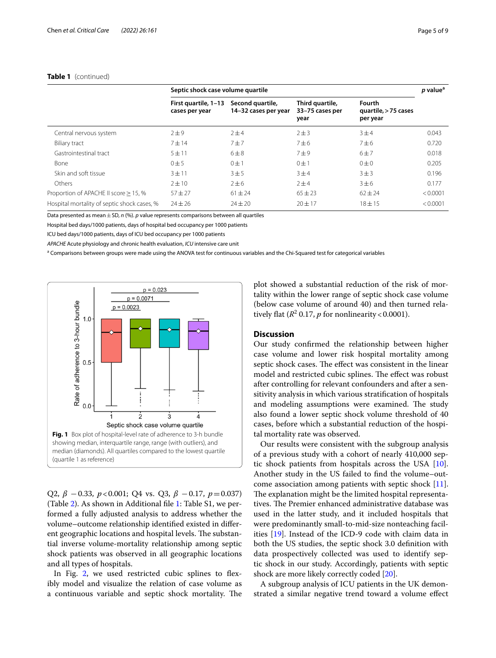|                                             | Septic shock case volume quartile      |                                          |                                            |                                            | <i>p</i> value <sup>a</sup> |
|---------------------------------------------|----------------------------------------|------------------------------------------|--------------------------------------------|--------------------------------------------|-----------------------------|
|                                             | First quartile, 1-13<br>cases per year | Second quartile,<br>14-32 cases per year | Third quartile,<br>33-75 cases per<br>year | Fourth<br>quartile, > 75 cases<br>per year |                             |
| Central nervous system                      | $2\pm9$                                | $7 + 4$                                  | $2 \pm 3$                                  | 3±4                                        | 0.043                       |
| Biliary tract                               | $7 + 14$                               | 7±7                                      | 7±6                                        | 7±6                                        | 0.720                       |
| Gastrointestinal tract                      | $5 + 11$                               | $6\pm8$                                  | 7±9                                        | 6±7                                        | 0.018                       |
| Bone                                        | 0±5                                    | $0 \pm 1$                                | $0 \pm 1$                                  | $0\pm 0$                                   | 0.205                       |
| Skin and soft tissue                        | $3 + 11$                               | 3±5                                      | 3±4                                        | 3 ± 3                                      | 0.196                       |
| Others                                      | $2 \pm 10$                             | $2\pm 6$                                 | 2±4                                        | 3±6                                        | 0.177                       |
| Proportion of APACHE II score $\geq$ 15, %  | $57 + 27$                              | $61 \pm 24$                              | $65 \pm 23$                                | $62 \pm 24$                                | < 0.0001                    |
| Hospital mortality of septic shock cases, % | $74 + 26$                              | $24 \pm 20$                              | $20 + 17$                                  | $18 + 15$                                  | < 0.0001                    |

#### **Table 1** (continued)

Data presented as mean  $\pm$  SD, *n* (%). *p* value represents comparisons between all quartiles

Hospital bed days/1000 patients, days of hospital bed occupancy per 1000 patients

ICU bed days/1000 patients, days of ICU bed occupancy per 1000 patients

*APACHE* Acute physiology and chronic health evaluation, *ICU* intensive care unit

<sup>a</sup> Comparisons between groups were made using the ANOVA test for continuous variables and the Chi-Squared test for categorical variables



<span id="page-4-0"></span>Q2, *β* −0.33, *p*<0.001; Q4 vs. Q3, *β* −0.17, *p*=0.037) (Table [2\)](#page-5-0). As shown in Additional fle [1](#page-7-3): Table S1, we performed a fully adjusted analysis to address whether the volume–outcome relationship identifed existed in diferent geographic locations and hospital levels. The substantial inverse volume-mortality relationship among septic shock patients was observed in all geographic locations and all types of hospitals.

In Fig. [2](#page-6-0), we used restricted cubic splines to flexibly model and visualize the relation of case volume as a continuous variable and septic shock mortality. The plot showed a substantial reduction of the risk of mortality within the lower range of septic shock case volume (below case volume of around 40) and then turned relatively flat ( $R^2$  0.17, *p* for nonlinearity < 0.0001).

#### **Discussion**

Our study confrmed the relationship between higher case volume and lower risk hospital mortality among septic shock cases. The effect was consistent in the linear model and restricted cubic splines. The effect was robust after controlling for relevant confounders and after a sensitivity analysis in which various stratifcation of hospitals and modeling assumptions were examined. The study also found a lower septic shock volume threshold of 40 cases, before which a substantial reduction of the hospital mortality rate was observed.

Our results were consistent with the subgroup analysis of a previous study with a cohort of nearly 410,000 septic shock patients from hospitals across the USA [\[10](#page-8-6)]. Another study in the US failed to fnd the volume–outcome association among patients with septic shock [\[11](#page-8-7)]. The explanation might be the limited hospital representatives. The Premier enhanced administrative database was used in the latter study, and it included hospitals that were predominantly small-to-mid-size nonteaching facilities [\[19](#page-8-14)]. Instead of the ICD-9 code with claim data in both the US studies, the septic shock 3.0 defnition with data prospectively collected was used to identify septic shock in our study. Accordingly, patients with septic shock are more likely correctly coded [\[20](#page-8-15)].

A subgroup analysis of ICU patients in the UK demonstrated a similar negative trend toward a volume efect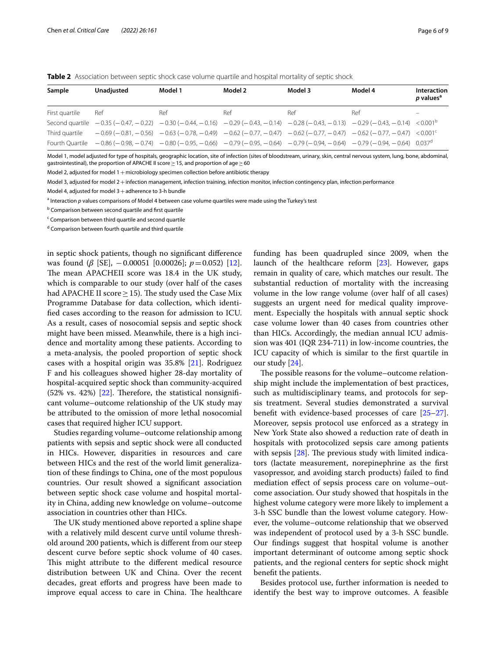<span id="page-5-0"></span>**Table 2** Association between septic shock case volume quartile and hospital mortality of septic shock

| Sample         | <b>Unadiusted</b>                                                                                                                                                                       | Model 1 | Model 2 | Model 3 | Model 4 | Interaction<br><i>p</i> values <sup>a</sup> |
|----------------|-----------------------------------------------------------------------------------------------------------------------------------------------------------------------------------------|---------|---------|---------|---------|---------------------------------------------|
| First quartile | Ref                                                                                                                                                                                     | Ref     | Ref     | Ref     | Ref     | -                                           |
|                | Second quartile $-0.35$ ( $-0.47$ , $-0.22$ ) $-0.30$ ( $-0.44$ , $-0.16$ ) $-0.29$ ( $-0.43$ , $-0.14$ ) $-0.28$ ( $-0.43$ , $-0.13$ ) $-0.29$ ( $-0.43$ , $-0.14$ ) $< 0.001^{\circ}$ |         |         |         |         |                                             |
|                | Third quartile $-0.69(-0.81, -0.56) -0.63(-0.78, -0.49) -0.62(-0.77, -0.47) -0.62(-0.77, -0.47) -0.62(-0.77, -0.47) -0.62(-0.77, -0.47)$                                                |         |         |         |         |                                             |
|                | Fourth Quartile $-0.86$ (-0.98, -0.74) $-0.80$ (-0.95, -0.66) $-0.79$ (-0.95, -0.64) $-0.79$ (-0.94, -0.64) $-0.79$ (-0.94, -0.64) $-0.79$ (-0.94, -0.64) $0.037d$                      |         |         |         |         |                                             |

Model 1, model adjusted for type of hospitals, geographic location, site of infection (sites of bloodstream, urinary, skin, central nervous system, lung, bone, abdominal, gastrointestinal), the proportion of APACHE II score  $\geq$  15, and proportion of age  $\geq$  60

Model 2, adjusted for model  $1+$  microbiology specimen collection before antibiotic therapy

Model 3, adjusted for model 2+infection management, infection training, infection monitor, infection contingency plan, infection performance

Model 4, adjusted for model  $3+$ adherence to 3-h bundle

<sup>a</sup> Interaction p values comparisons of Model 4 between case volume quartiles were made using the Turkey's test

<sup>b</sup> Comparison between second quartile and first quartile

<sup>c</sup> Comparison between third quartile and second quartile

d Comparison between fourth quartile and third quartile

in septic shock patients, though no signifcant diference was found (*β* [SE], −0.00051 [0.00026]; *p*=0.052) [\[12](#page-8-8)]. The mean APACHEII score was 18.4 in the UK study, which is comparable to our study (over half of the cases had APACHE II score  $\geq$  15). The study used the Case Mix Programme Database for data collection, which identifed cases according to the reason for admission to ICU. As a result, cases of nosocomial sepsis and septic shock might have been missed. Meanwhile, there is a high incidence and mortality among these patients. According to a meta-analysis, the pooled proportion of septic shock cases with a hospital origin was 35.8% [\[21\]](#page-8-16). Rodriguez F and his colleagues showed higher 28-day mortality of hospital-acquired septic shock than community-acquired  $(52\% \text{ vs. } 42\%)$  [[22\]](#page-8-17). Therefore, the statistical nonsignificant volume–outcome relationship of the UK study may be attributed to the omission of more lethal nosocomial cases that required higher ICU support.

Studies regarding volume–outcome relationship among patients with sepsis and septic shock were all conducted in HICs. However, disparities in resources and care between HICs and the rest of the world limit generalization of these fndings to China, one of the most populous countries. Our result showed a signifcant association between septic shock case volume and hospital mortality in China, adding new knowledge on volume–outcome association in countries other than HICs.

The UK study mentioned above reported a spline shape with a relatively mild descent curve until volume threshold around 200 patients, which is diferent from our steep descent curve before septic shock volume of 40 cases. This might attribute to the different medical resource distribution between UK and China. Over the recent decades, great eforts and progress have been made to improve equal access to care in China. The healthcare funding has been quadrupled since 2009, when the launch of the healthcare reform [\[23](#page-8-18)]. However, gaps remain in quality of care, which matches our result. The substantial reduction of mortality with the increasing volume in the low range volume (over half of all cases) suggests an urgent need for medical quality improvement. Especially the hospitals with annual septic shock case volume lower than 40 cases from countries other than HICs. Accordingly, the median annual ICU admission was 401 (IQR 234-711) in low-income countries, the ICU capacity of which is similar to the frst quartile in our study [[24\]](#page-8-19).

The possible reasons for the volume–outcome relationship might include the implementation of best practices, such as multidisciplinary teams, and protocols for sepsis treatment. Several studies demonstrated a survival beneft with evidence-based processes of care [[25](#page-8-20)[–27](#page-8-21)]. Moreover, sepsis protocol use enforced as a strategy in New York State also showed a reduction rate of death in hospitals with protocolized sepsis care among patients with sepsis  $[28]$  $[28]$ . The previous study with limited indicators (lactate measurement, norepinephrine as the frst vasopressor, and avoiding starch products) failed to fnd mediation efect of sepsis process care on volume–outcome association. Our study showed that hospitals in the highest volume category were more likely to implement a 3-h SSC bundle than the lowest volume category. However, the volume–outcome relationship that we observed was independent of protocol used by a 3-h SSC bundle. Our fndings suggest that hospital volume is another important determinant of outcome among septic shock patients, and the regional centers for septic shock might beneft the patients.

Besides protocol use, further information is needed to identify the best way to improve outcomes. A feasible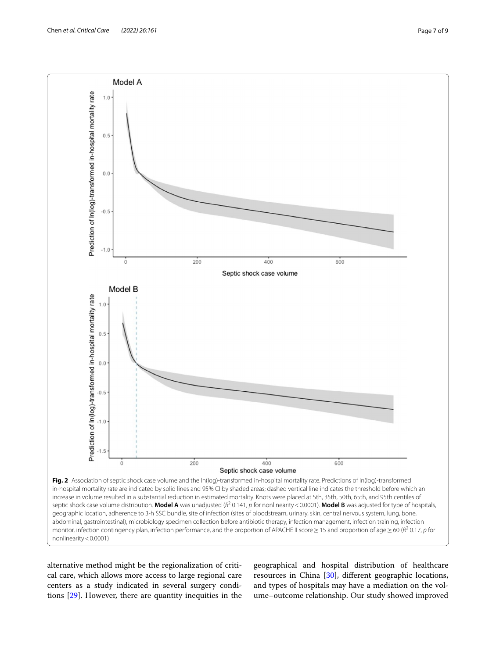

<span id="page-6-0"></span>alternative method might be the regionalization of critical care, which allows more access to large regional care centers as a study indicated in several surgery conditions [[29](#page-8-23)]. However, there are quantity inequities in the

geographical and hospital distribution of healthcare resources in China [[30\]](#page-8-24), diferent geographic locations, and types of hospitals may have a mediation on the volume–outcome relationship. Our study showed improved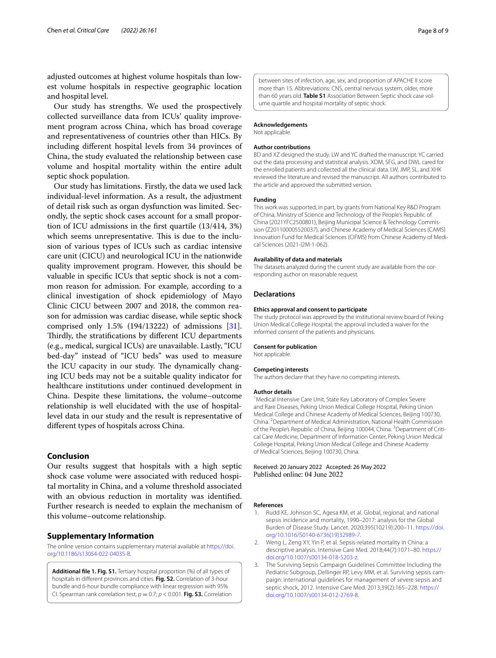adjusted outcomes at highest volume hospitals than lowest volume hospitals in respective geographic location and hospital level.

Our study has strengths. We used the prospectively collected surveillance data from ICUs' quality improvement program across China, which has broad coverage and representativeness of countries other than HICs. By including diferent hospital levels from 34 provinces of China, the study evaluated the relationship between case volume and hospital mortality within the entire adult septic shock population.

Our study has limitations. Firstly, the data we used lack individual-level information. As a result, the adjustment of detail risk such as organ dysfunction was limited. Secondly, the septic shock cases account for a small proportion of ICU admissions in the frst quartile (13/414, 3%) which seems unrepresentative. This is due to the inclusion of various types of ICUs such as cardiac intensive care unit (CICU) and neurological ICU in the nationwide quality improvement program. However, this should be valuable in specifc ICUs that septic shock is not a common reason for admission. For example, according to a clinical investigation of shock epidemiology of Mayo Clinic CICU between 2007 and 2018, the common reason for admission was cardiac disease, while septic shock comprised only 1.5% (194/13222) of admissions [\[31](#page-8-25)]. Thirdly, the stratifications by different ICU departments (e.g., medical, surgical ICUs) are unavailable. Lastly, "ICU bed-day" instead of "ICU beds" was used to measure the ICU capacity in our study. The dynamically changing ICU beds may not be a suitable quality indicator for healthcare institutions under continued development in China. Despite these limitations, the volume–outcome relationship is well elucidated with the use of hospitallevel data in our study and the result is representative of diferent types of hospitals across China.

#### **Conclusion**

Our results suggest that hospitals with a high septic shock case volume were associated with reduced hospital mortality in China, and a volume threshold associated with an obvious reduction in mortality was identifed. Further research is needed to explain the mechanism of this volume–outcome relationship.

#### **Supplementary Information**

The online version contains supplementary material available at [https://doi.](https://doi.org/10.1186/s13054-022-04035-8) [org/10.1186/s13054-022-04035-8](https://doi.org/10.1186/s13054-022-04035-8).

<span id="page-7-3"></span>**Additional fle 1. Fig. S1.** Tertiary hospital proportion (%) of all types of hospitals in diferent provinces and cities. **Fig. S2.** Correlation of 3-hour bundle and 6-hour bundle compliance with linear regression with 95% CI. Spearman rank correlation test,  $p = 0.7$ ;  $p < 0.001$ . **Fig. S3.** Correlation between sites of infection, age, sex, and proportion of APACHE II score more than 15. Abbreviations: CNS, central nervous system; older, more than 60 years old. Table S1 Association Between Septic shock case volume quartile and hospital mortality of septic shock.

#### **Acknowledgements**

Not applicable.

#### **Author contributions**

BD and XZ designed the study. LW and YC drafted the manuscript. YC carried out the data processing and statistical analysis. XDM, SFG, and DWL cared for the enrolled patients and collected all the clinical data. LW, JMP, SL, and XHK reviewed the literature and revised the manuscript. All authors contributed to the article and approved the submitted version.

#### **Funding**

This work was supported, in part, by grants from National Key R&D Program of China, Ministry of Science and Technology of the People's Republic of China (2021YFC2500801), Beijing Municipal Science & Technology Commis‑ sion (Z201100005520037), and Chinese Academy of Medical Sciences (CAMS) Innovation Fund for Medical Sciences (CIFMS) from Chinese Academy of Medical Sciences (2021-I2M-1-062).

#### **Availability of data and materials**

The datasets analyzed during the current study are available from the corresponding author on reasonable request.

#### **Declarations**

#### **Ethics approval and consent to participate**

The study protocol was approved by the institutional review board of Peking Union Medical College Hospital; the approval included a waiver for the informed consent of the patients and physicians.

#### **Consent for publication**

Not applicable.

#### **Competing interests**

The authors declare that they have no competing interests.

#### **Author details**

<sup>1</sup> Medical Intensive Care Unit, State Key Laboratory of Complex Severe and Rare Diseases, Peking Union Medical College Hospital, Peking Union Medical College and Chinese Academy of Medical Sciences, Beijing 100730, China. <sup>2</sup> Department of Medical Administration, National Health Commission of the People's Republic of China, Beijing 100044, China. <sup>3</sup> Department of Critical Care Medicine, Department of Information Center, Peking Union Medical College Hospital, Peking Union Medical College and Chinese Academy of Medical Sciences, Beijing 100730, China.

## Received: 20 January 2022 Accepted: 26 May 2022<br>Published online: 04 June 2022

#### **References**

- <span id="page-7-0"></span>1. Rudd KE, Johnson SC, Agesa KM, et al. Global, regional, and national sepsis incidence and mortality, 1990–2017: analysis for the Global Burden of Disease Study. Lancet. 2020;395(10219):200–11. [https://doi.](https://doi.org/10.1016/S0140-6736(19)32989-7) [org/10.1016/S0140-6736\(19\)32989-7](https://doi.org/10.1016/S0140-6736(19)32989-7).
- <span id="page-7-1"></span>2. Weng L, Zeng XY, Yin P, et al. Sepsis-related mortality in China: a descriptive analysis. Intensive Care Med. 2018;44(7):1071–80. [https://](https://doi.org/10.1007/s00134-018-5203-z) [doi.org/10.1007/s00134-018-5203-z](https://doi.org/10.1007/s00134-018-5203-z).
- <span id="page-7-2"></span>3. The Surviving Sepsis Campaign Guidelines Committee Including the Pediatric Subgroup, Dellinger RP, Levy MM, et al. Surviving sepsis campaign: international guidelines for management of severe sepsis and septic shock, 2012. Intensive Care Med. 2013;39(2):165–228. [https://](https://doi.org/10.1007/s00134-012-2769-8) [doi.org/10.1007/s00134-012-2769-8.](https://doi.org/10.1007/s00134-012-2769-8)